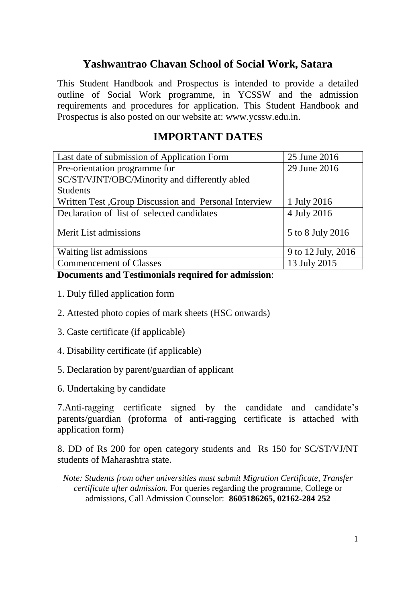# **Yashwantrao Chavan School of Social Work, Satara**

This Student Handbook and Prospectus is intended to provide a detailed outline of Social Work programme, in YCSSW and the admission requirements and procedures for application. This Student Handbook and Prospectus is also posted on our website at: [www.ycssw.edu.in.](http://www.ycssw.edu.in/)

# **IMPORTANT DATES**

| Last date of submission of Application Form           | 25 June 2016       |
|-------------------------------------------------------|--------------------|
| Pre-orientation programme for                         | 29 June 2016       |
| SC/ST/VJNT/OBC/Minority and differently abled         |                    |
| <b>Students</b>                                       |                    |
| Written Test, Group Discussion and Personal Interview | 1 July 2016        |
| Declaration of list of selected candidates            | 4 July 2016        |
| Merit List admissions                                 | 5 to 8 July 2016   |
| Waiting list admissions                               | 9 to 12 July, 2016 |
| <b>Commencement of Classes</b>                        | 13 July 2015       |

# **Documents and Testimonials required for admission**:

- 1. Duly filled application form
- 2. Attested photo copies of mark sheets (HSC onwards)
- 3. Caste certificate (if applicable)
- 4. Disability certificate (if applicable)
- 5. Declaration by parent/guardian of applicant
- 6. Undertaking by candidate

7.Anti-ragging certificate signed by the candidate and candidate's parents/guardian (proforma of anti-ragging certificate is attached with application form)

8. DD of Rs 200 for open category students and Rs 150 for SC/ST/VJ/NT students of Maharashtra state.

*Note: Students from other universities must submit Migration Certificate, Transfer certificate after admission.* For queries regarding the programme, College or admissions, Call Admission Counselor: **8605186265, 02162-284 252**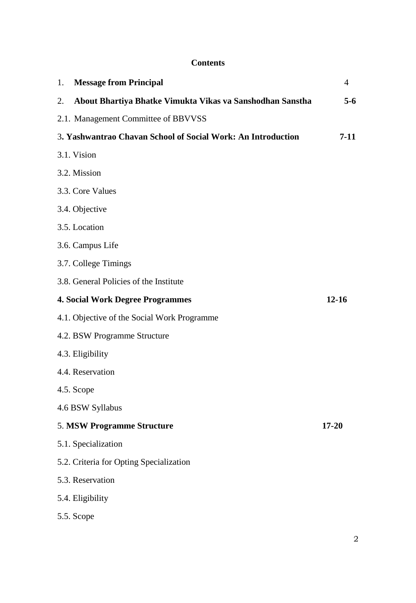# **Contents**

| 1. | <b>Message from Principal</b>                                | $\overline{4}$ |
|----|--------------------------------------------------------------|----------------|
| 2. | About Bhartiya Bhatke Vimukta Vikas va Sanshodhan Sanstha    | $5-6$          |
|    | 2.1. Management Committee of BBVVSS                          |                |
|    | 3. Yashwantrao Chavan School of Social Work: An Introduction | $7 - 11$       |
|    | 3.1. Vision                                                  |                |
|    | 3.2. Mission                                                 |                |
|    | 3.3. Core Values                                             |                |
|    | 3.4. Objective                                               |                |
|    | 3.5. Location                                                |                |
|    | 3.6. Campus Life                                             |                |
|    | 3.7. College Timings                                         |                |
|    | 3.8. General Policies of the Institute                       |                |
|    | <b>4. Social Work Degree Programmes</b>                      | $12 - 16$      |
|    | 4.1. Objective of the Social Work Programme                  |                |
|    | 4.2. BSW Programme Structure                                 |                |
|    | 4.3. Eligibility                                             |                |
|    | 4.4. Reservation                                             |                |
|    | 4.5. Scope                                                   |                |
|    | 4.6 BSW Syllabus                                             |                |
|    | 5. MSW Programme Structure                                   | $17 - 20$      |
|    | 5.1. Specialization                                          |                |
|    | 5.2. Criteria for Opting Specialization                      |                |
|    | 5.3. Reservation                                             |                |
|    | 5.4. Eligibility                                             |                |
|    | 5.5. Scope                                                   |                |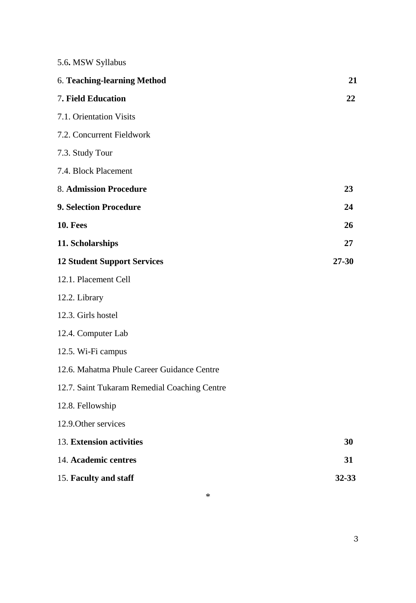|  | 5.6. MSW Syllabus |
|--|-------------------|
|  |                   |

| 6. Teaching-learning Method                  | 21        |
|----------------------------------------------|-----------|
| 7. Field Education                           | 22        |
| 7.1. Orientation Visits                      |           |
| 7.2. Concurrent Fieldwork                    |           |
| 7.3. Study Tour                              |           |
| 7.4. Block Placement                         |           |
| <b>8. Admission Procedure</b>                | 23        |
| <b>9. Selection Procedure</b>                | 24        |
| 10. Fees                                     | 26        |
| 11. Scholarships                             | 27        |
| <b>12 Student Support Services</b>           | $27 - 30$ |
| 12.1. Placement Cell                         |           |
| 12.2. Library                                |           |
| 12.3. Girls hostel                           |           |
| 12.4. Computer Lab                           |           |
| 12.5. Wi-Fi campus                           |           |
| 12.6. Mahatma Phule Career Guidance Centre   |           |
| 12.7. Saint Tukaram Remedial Coaching Centre |           |
| 12.8. Fellowship                             |           |
| 12.9. Other services                         |           |
| 13. Extension activities                     | 30        |
| 14. Academic centres                         | 31        |
| 15. Faculty and staff                        | 32-33     |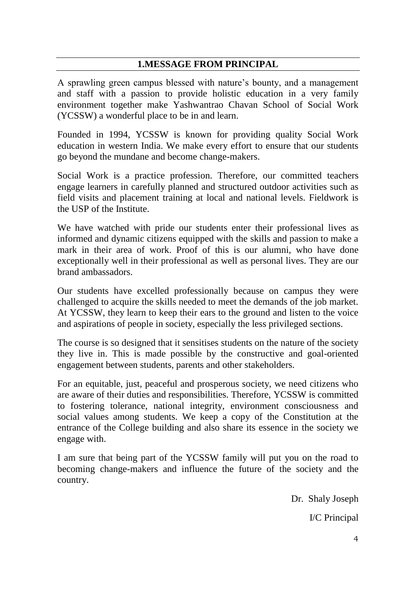# **1.MESSAGE FROM PRINCIPAL**

A sprawling green campus blessed with nature's bounty, and a management and staff with a passion to provide holistic education in a very family environment together make Yashwantrao Chavan School of Social Work (YCSSW) a wonderful place to be in and learn.

Founded in 1994, YCSSW is known for providing quality Social Work education in western India. We make every effort to ensure that our students go beyond the mundane and become change-makers.

Social Work is a practice profession. Therefore, our committed teachers engage learners in carefully planned and structured outdoor activities such as field visits and placement training at local and national levels. Fieldwork is the USP of the Institute.

We have watched with pride our students enter their professional lives as informed and dynamic citizens equipped with the skills and passion to make a mark in their area of work. Proof of this is our alumni, who have done exceptionally well in their professional as well as personal lives. They are our brand ambassadors.

Our students have excelled professionally because on campus they were challenged to acquire the skills needed to meet the demands of the job market. At YCSSW, they learn to keep their ears to the ground and listen to the voice and aspirations of people in society, especially the less privileged sections.

The course is so designed that it sensitises students on the nature of the society they live in. This is made possible by the constructive and goal-oriented engagement between students, parents and other stakeholders.

For an equitable, just, peaceful and prosperous society, we need citizens who are aware of their duties and responsibilities. Therefore, YCSSW is committed to fostering tolerance, national integrity, environment consciousness and social values among students. We keep a copy of the Constitution at the entrance of the College building and also share its essence in the society we engage with.

I am sure that being part of the YCSSW family will put you on the road to becoming change-makers and influence the future of the society and the country.

> Dr. Shaly Joseph I/C Principal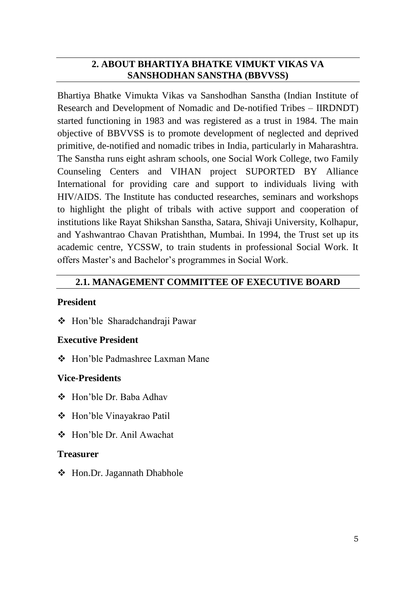# **2. ABOUT BHARTIYA BHATKE VIMUKT VIKAS VA SANSHODHAN SANSTHA (BBVVSS)**

Bhartiya Bhatke Vimukta Vikas va Sanshodhan Sanstha (Indian Institute of Research and Development of Nomadic and De-notified Tribes – IIRDNDT) started functioning in 1983 and was registered as a trust in 1984. The main objective of BBVVSS is to promote development of neglected and deprived primitive, de-notified and nomadic tribes in India, particularly in Maharashtra. The Sanstha runs eight ashram schools, one Social Work College, two Family Counseling Centers and VIHAN project SUPORTED BY Alliance International for providing care and support to individuals living with HIV/AIDS. The Institute has conducted researches, seminars and workshops to highlight the plight of tribals with active support and cooperation of institutions like Rayat Shikshan Sanstha, Satara, Shivaji University, Kolhapur, and Yashwantrao Chavan Pratishthan, Mumbai. In 1994, the Trust set up its academic centre, YCSSW, to train students in professional Social Work. It offers Master's and Bachelor's programmes in Social Work.

# **2.1. MANAGEMENT COMMITTEE OF EXECUTIVE BOARD**

# **President**

Hon'ble Sharadchandraji Pawar

# **Executive President**

❖ Hon'ble Padmashree Laxman Mane

# **Vice-Presidents**

- Hon'ble Dr. Baba Adhav
- Hon'ble Vinayakrao Patil
- Hon'ble Dr. Anil Awachat

# **Treasurer**

Hon.Dr. Jagannath Dhabhole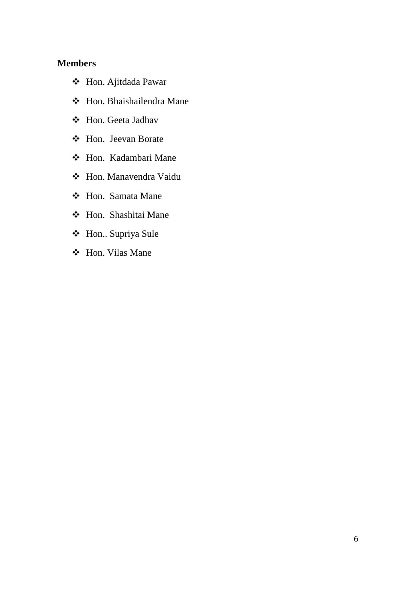## **Members**

- Hon. Ajitdada Pawar
- Hon. Bhaishailendra Mane
- Hon. Geeta Jadhav
- Hon. Jeevan Borate
- Hon. Kadambari Mane
- Hon. Manavendra Vaidu
- Hon. Samata Mane
- Hon. Shashitai Mane
- Hon.. Supriya Sule
- Hon. Vilas Mane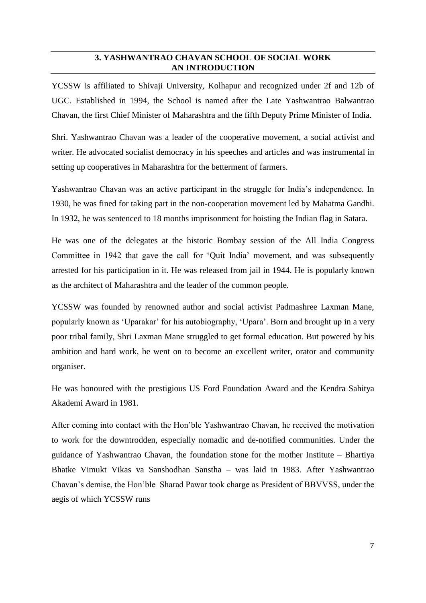# **3. YASHWANTRAO CHAVAN SCHOOL OF SOCIAL WORK AN INTRODUCTION**

YCSSW is affiliated to Shivaji University, Kolhapur and recognized under 2f and 12b of UGC. Established in 1994, the School is named after the Late Yashwantrao Balwantrao Chavan, the first Chief Minister of Maharashtra and the fifth Deputy Prime Minister of India.

Shri. Yashwantrao Chavan was a leader of the cooperative movement, a social activist and writer. He advocated socialist democracy in his speeches and articles and was instrumental in setting up cooperatives in Maharashtra for the betterment of farmers.

Yashwantrao Chavan was an active participant in the struggle for India's independence. In 1930, he was fined for taking part in the non-cooperation movement led by Mahatma Gandhi. In 1932, he was sentenced to 18 months imprisonment for hoisting the Indian flag in Satara.

He was one of the delegates at the historic Bombay session of the All India Congress Committee in 1942 that gave the call for 'Quit India' movement, and was subsequently arrested for his participation in it. He was released from jail in 1944. He is popularly known as the architect of Maharashtra and the leader of the common people.

YCSSW was founded by renowned author and social activist Padmashree Laxman Mane, popularly known as 'Uparakar' for his autobiography, 'Upara'. Born and brought up in a very poor tribal family, Shri Laxman Mane struggled to get formal education. But powered by his ambition and hard work, he went on to become an excellent writer, orator and community organiser.

He was honoured with the prestigious US Ford Foundation Award and the Kendra Sahitya Akademi Award in 1981.

After coming into contact with the Hon'ble Yashwantrao Chavan, he received the motivation to work for the downtrodden, especially nomadic and de-notified communities. Under the guidance of Yashwantrao Chavan, the foundation stone for the mother Institute – Bhartiya Bhatke Vimukt Vikas va Sanshodhan Sanstha – was laid in 1983. After Yashwantrao Chavan's demise, the Hon'ble Sharad Pawar took charge as President of BBVVSS, under the aegis of which YCSSW runs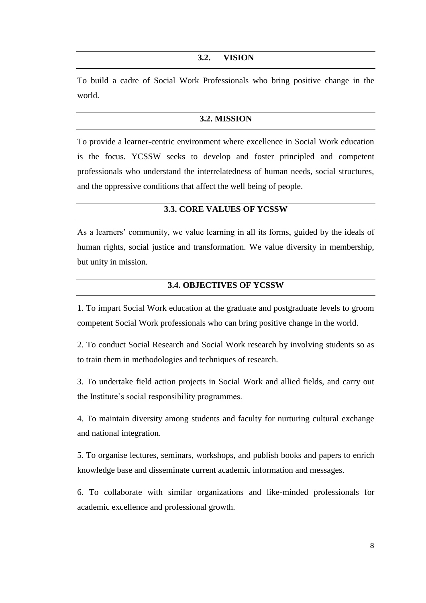#### **3.2. VISION**

To build a cadre of Social Work Professionals who bring positive change in the world.

## **3.2. MISSION**

To provide a learner-centric environment where excellence in Social Work education is the focus. YCSSW seeks to develop and foster principled and competent professionals who understand the interrelatedness of human needs, social structures, and the oppressive conditions that affect the well being of people.

## **3.3. CORE VALUES OF YCSSW**

As a learners' community, we value learning in all its forms, guided by the ideals of human rights, social justice and transformation. We value diversity in membership, but unity in mission.

## **3.4. OBJECTIVES OF YCSSW**

1. To impart Social Work education at the graduate and postgraduate levels to groom competent Social Work professionals who can bring positive change in the world.

2. To conduct Social Research and Social Work research by involving students so as to train them in methodologies and techniques of research.

3. To undertake field action projects in Social Work and allied fields, and carry out the Institute's social responsibility programmes.

4. To maintain diversity among students and faculty for nurturing cultural exchange and national integration.

5. To organise lectures, seminars, workshops, and publish books and papers to enrich knowledge base and disseminate current academic information and messages.

6. To collaborate with similar organizations and like-minded professionals for academic excellence and professional growth.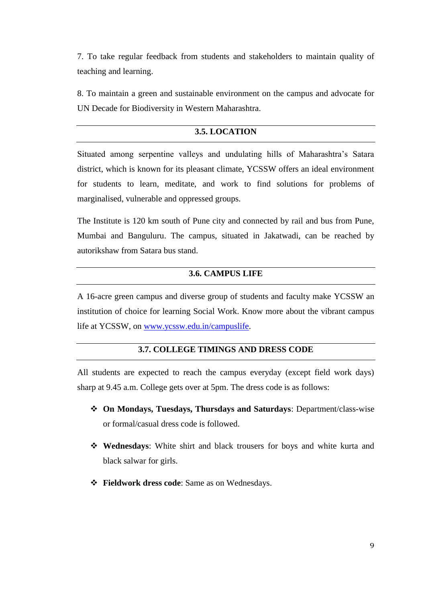7. To take regular feedback from students and stakeholders to maintain quality of teaching and learning.

8. To maintain a green and sustainable environment on the campus and advocate for UN Decade for Biodiversity in Western Maharashtra.

# **3.5. LOCATION**

Situated among serpentine valleys and undulating hills of Maharashtra's Satara district, which is known for its pleasant climate, YCSSW offers an ideal environment for students to learn, meditate, and work to find solutions for problems of marginalised, vulnerable and oppressed groups.

The Institute is 120 km south of Pune city and connected by rail and bus from Pune, Mumbai and Banguluru. The campus, situated in Jakatwadi, can be reached by autorikshaw from Satara bus stand.

## **3.6. CAMPUS LIFE**

A 16-acre green campus and diverse group of students and faculty make YCSSW an institution of choice for learning Social Work. Know more about the vibrant campus life at YCSSW, on [www.ycssw.edu.in/campuslife.](http://www.ycssw.edu.in/campuslife)

# **3.7. COLLEGE TIMINGS AND DRESS CODE**

All students are expected to reach the campus everyday (except field work days) sharp at 9.45 a.m. College gets over at 5pm. The dress code is as follows:

- **On Mondays, Tuesdays, Thursdays and Saturdays**: Department/class-wise or formal/casual dress code is followed.
- **Wednesdays**: White shirt and black trousers for boys and white kurta and black salwar for girls.
- **Fieldwork dress code**: Same as on Wednesdays.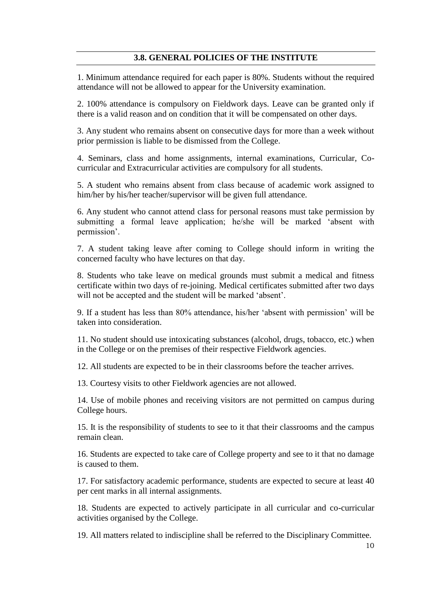## **3.8. GENERAL POLICIES OF THE INSTITUTE**

1. Minimum attendance required for each paper is 80%. Students without the required attendance will not be allowed to appear for the University examination.

2. 100% attendance is compulsory on Fieldwork days. Leave can be granted only if there is a valid reason and on condition that it will be compensated on other days.

3. Any student who remains absent on consecutive days for more than a week without prior permission is liable to be dismissed from the College.

4. Seminars, class and home assignments, internal examinations, Curricular, Cocurricular and Extracurricular activities are compulsory for all students.

5. A student who remains absent from class because of academic work assigned to him/her by his/her teacher/supervisor will be given full attendance.

6. Any student who cannot attend class for personal reasons must take permission by submitting a formal leave application; he/she will be marked 'absent with permission'.

7. A student taking leave after coming to College should inform in writing the concerned faculty who have lectures on that day.

8. Students who take leave on medical grounds must submit a medical and fitness certificate within two days of re-joining. Medical certificates submitted after two days will not be accepted and the student will be marked 'absent'.

9. If a student has less than 80% attendance, his/her 'absent with permission' will be taken into consideration.

11. No student should use intoxicating substances (alcohol, drugs, tobacco, etc.) when in the College or on the premises of their respective Fieldwork agencies.

12. All students are expected to be in their classrooms before the teacher arrives.

13. Courtesy visits to other Fieldwork agencies are not allowed.

14. Use of mobile phones and receiving visitors are not permitted on campus during College hours.

15. It is the responsibility of students to see to it that their classrooms and the campus remain clean.

16. Students are expected to take care of College property and see to it that no damage is caused to them.

17. For satisfactory academic performance, students are expected to secure at least 40 per cent marks in all internal assignments.

18. Students are expected to actively participate in all curricular and co-curricular activities organised by the College.

19. All matters related to indiscipline shall be referred to the Disciplinary Committee.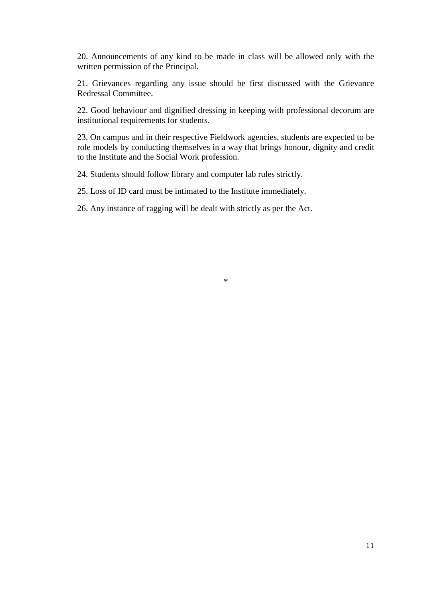20. Announcements of any kind to be made in class will be allowed only with the written permission of the Principal.

21. Grievances regarding any issue should be first discussed with the Grievance Redressal Committee.

22. Good behaviour and dignified dressing in keeping with professional decorum are institutional requirements for students.

23. On campus and in their respective Fieldwork agencies, students are expected to be role models by conducting themselves in a way that brings honour, dignity and credit to the Institute and the Social Work profession.

24. Students should follow library and computer lab rules strictly.

25. Loss of ID card must be intimated to the Institute immediately.

26. Any instance of ragging will be dealt with strictly as per the Act.

\*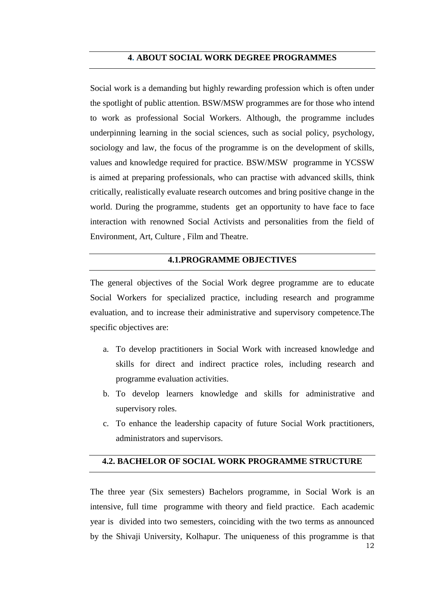## **4. ABOUT SOCIAL WORK DEGREE PROGRAMMES**

Social work is a demanding but highly rewarding profession which is often under the spotlight of public attention. BSW/MSW programmes are for those who intend to work as professional Social Workers. Although, the programme includes underpinning learning in the social sciences, such as social policy, psychology, sociology and law, the focus of the programme is on the development of skills, values and knowledge required for practice. BSW/MSW programme in YCSSW is aimed at preparing professionals, who can practise with advanced skills, think critically, realistically evaluate research outcomes and bring positive change in the world. During the programme, students get an opportunity to have face to face interaction with renowned Social Activists and personalities from the field of Environment, Art, Culture , Film and Theatre.

## **4.1.PROGRAMME OBJECTIVES**

The general objectives of the Social Work degree programme are to educate Social Workers for specialized practice, including research and programme evaluation, and to increase their administrative and supervisory competence.The specific objectives are:

- a. To develop practitioners in Social Work with increased knowledge and skills for direct and indirect practice roles, including research and programme evaluation activities.
- b. To develop learners knowledge and skills for administrative and supervisory roles.
- c. To enhance the leadership capacity of future Social Work practitioners, administrators and supervisors.

# **4.2. BACHELOR OF SOCIAL WORK PROGRAMME STRUCTURE**

The three year (Six semesters) Bachelors programme, in Social Work is an intensive, full time programme with theory and field practice. Each academic year is divided into two semesters, coinciding with the two terms as announced by the Shivaji University, Kolhapur. The uniqueness of this programme is that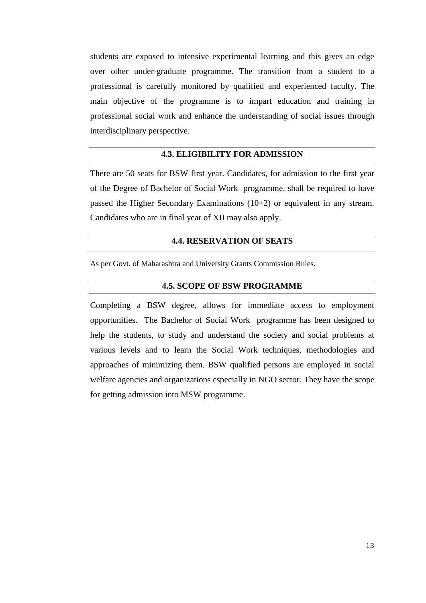students are exposed to intensive experimental learning and this gives an edge over other under-graduate programme. The transition from a student to a professional is carefully monitored by qualified and experienced faculty. The main objective of the programme is to impart education and training in professional social work and enhance the understanding of social issues through interdisciplinary perspective.

# **4.3. ELIGIBILITY FOR ADMISSION**

There are 50 seats for BSW first year. Candidates, for admission to the first year of the Degree of Bachelor of Social Work programme, shall be required to have passed the Higher Secondary Examinations (10+2) or equivalent in any stream. Candidates who are in final year of XII may also apply.

# **4.4. RESERVATION OF SEATS**

As per Govt. of Maharashtra and University Grants Commission Rules.

## **4.5. SCOPE OF BSW PROGRAMME**

Completing a BSW degree, allows for immediate access to employment opportunities. The Bachelor of Social Work programme has been designed to help the students, to study and understand the society and social problems at various levels and to learn the Social Work techniques, methodologies and approaches of minimizing them. BSW qualified persons are employed in social welfare agencies and organizations especially in NGO sector. They have the scope for getting admission into MSW programme.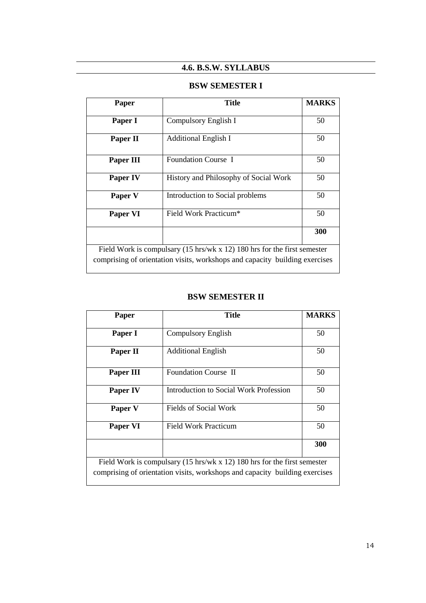# **4.6. B.S.W. SYLLABUS**

# **BSW SEMESTER I**

| Paper                                                                               | <b>Title</b>                          | <b>MARKS</b> |  |
|-------------------------------------------------------------------------------------|---------------------------------------|--------------|--|
| Paper I                                                                             | Compulsory English I                  | 50           |  |
| Paper II                                                                            | <b>Additional English I</b>           | 50           |  |
| Paper III                                                                           | Foundation Course I                   | 50           |  |
| <b>Paper IV</b>                                                                     | History and Philosophy of Social Work | 50           |  |
| Paper V                                                                             | Introduction to Social problems       | 50           |  |
| Paper VI                                                                            | Field Work Practicum <sup>*</sup>     | 50           |  |
|                                                                                     |                                       | 300          |  |
| Field Work is compulsary $(15 \text{ hrs/wk x } 12)$ 180 hrs for the first semester |                                       |              |  |
| comprising of orientation visits, workshops and capacity building exercises         |                                       |              |  |

# **BSW SEMESTER II**

| Paper                                                                               | <b>Title</b>                           |     |  |
|-------------------------------------------------------------------------------------|----------------------------------------|-----|--|
|                                                                                     |                                        |     |  |
| Paper I                                                                             | Compulsory English                     | 50  |  |
|                                                                                     |                                        |     |  |
| Paper II                                                                            | <b>Additional English</b>              | 50  |  |
| Paper III                                                                           | Foundation Course II                   | 50  |  |
| <b>Paper IV</b>                                                                     | Introduction to Social Work Profession | 50  |  |
| Paper V                                                                             | Fields of Social Work                  | 50  |  |
| Paper VI                                                                            | Field Work Practicum                   | 50  |  |
|                                                                                     |                                        | 300 |  |
| Field Work is compulsary $(15 \text{ hrs/wk x } 12)$ 180 hrs for the first semester |                                        |     |  |
| comprising of orientation visits, workshops and capacity building exercises         |                                        |     |  |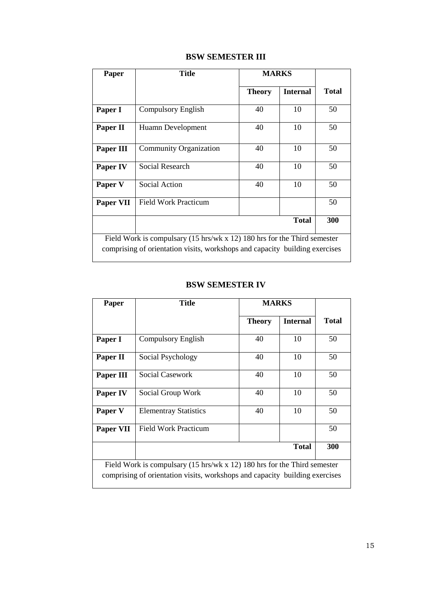|  | <b>BSW SEMESTER III</b> |  |
|--|-------------------------|--|
|--|-------------------------|--|

| <b>Paper</b>                                                                                                                                                       | <b>Title</b>                  | <b>MARKS</b>  |                 |              |
|--------------------------------------------------------------------------------------------------------------------------------------------------------------------|-------------------------------|---------------|-----------------|--------------|
|                                                                                                                                                                    |                               | <b>Theory</b> | <b>Internal</b> | <b>Total</b> |
| Paper I                                                                                                                                                            | Compulsory English            | 40            | 10              | 50           |
| Paper II                                                                                                                                                           | Huamn Development             | 40            | 10              | 50           |
| Paper III                                                                                                                                                          | <b>Community Organization</b> | 40            | 10              | 50           |
| Paper IV                                                                                                                                                           | <b>Social Research</b>        | 40            | 10              | 50           |
| Paper V                                                                                                                                                            | Social Action                 | 40            | 10              | 50           |
| <b>Paper VII</b>                                                                                                                                                   | <b>Field Work Practicum</b>   |               |                 | 50           |
|                                                                                                                                                                    |                               |               | <b>Total</b>    | 300          |
| Field Work is compulsary $(15 \text{ hrs/wk x } 12)$ 180 hrs for the Third semester<br>comprising of orientation visits, workshops and capacity building exercises |                               |               |                 |              |

# **BSW SEMESTER IV**

| Paper                                                                                                                                                   | Title                        | <b>MARKS</b>  |                 |              |
|---------------------------------------------------------------------------------------------------------------------------------------------------------|------------------------------|---------------|-----------------|--------------|
|                                                                                                                                                         |                              | <b>Theory</b> | <b>Internal</b> | <b>Total</b> |
| Paper I                                                                                                                                                 | <b>Compulsory English</b>    | 40            | 10              | 50           |
| Paper II                                                                                                                                                | Social Psychology            | 40            | 10              | 50           |
| Paper III                                                                                                                                               | Social Casework              | 40            | 10              | 50           |
| Paper IV                                                                                                                                                | Social Group Work            | 40            | 10              | 50           |
| Paper V                                                                                                                                                 | <b>Elementray Statistics</b> | 40            | 10              | 50           |
| Paper VII                                                                                                                                               | <b>Field Work Practicum</b>  |               |                 | 50           |
|                                                                                                                                                         |                              |               | <b>Total</b>    | 300          |
| Field Work is compulsary (15 hrs/wk x 12) 180 hrs for the Third semester<br>comprising of orientation visits, workshops and capacity building exercises |                              |               |                 |              |

 $\overline{\phantom{a}}$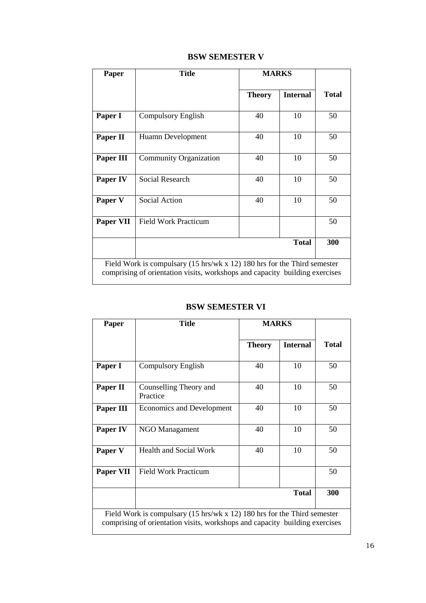| <b>BSW SEMESTER V</b> |  |
|-----------------------|--|
|-----------------------|--|

| Paper                                                                                                                                                                         | <b>Title</b>                | <b>MARKS</b>  |                 |              |
|-------------------------------------------------------------------------------------------------------------------------------------------------------------------------------|-----------------------------|---------------|-----------------|--------------|
|                                                                                                                                                                               |                             | <b>Theory</b> | <b>Internal</b> | <b>Total</b> |
| Paper I                                                                                                                                                                       | Compulsory English          | 40            | 10              | 50           |
| Paper II                                                                                                                                                                      | Huamn Development           | 40            | 10              | 50           |
| Paper III                                                                                                                                                                     | Community Organization      | 40            | 10              | 50           |
| Paper IV                                                                                                                                                                      | <b>Social Research</b>      | 40            | 10              | 50           |
| Paper V                                                                                                                                                                       | <b>Social Action</b>        | 40            | 10              | 50           |
| Paper VII                                                                                                                                                                     | <b>Field Work Practicum</b> |               |                 | 50           |
|                                                                                                                                                                               |                             |               | <b>Total</b>    | 300          |
| Field Work is compulsary $(15 \text{ hrs}/\text{wk} \times 12)$ 180 hrs for the Third semester<br>comprising of orientation visits, workshops and capacity building exercises |                             |               |                 |              |

# **BSW SEMESTER VI**

| Paper                                                                                                                                                              | <b>Title</b>                       | <b>MARKS</b>  |                 |              |
|--------------------------------------------------------------------------------------------------------------------------------------------------------------------|------------------------------------|---------------|-----------------|--------------|
|                                                                                                                                                                    |                                    | <b>Theory</b> | <b>Internal</b> | <b>Total</b> |
| Paper I                                                                                                                                                            | <b>Compulsory English</b>          | 40            | 10              | 50           |
| Paper II                                                                                                                                                           | Counselling Theory and<br>Practice | 40            | 10              | 50           |
| Paper III                                                                                                                                                          | Economics and Development          | 40            | 10              | 50           |
| Paper IV                                                                                                                                                           | <b>NGO Managament</b>              | 40            | 10              | 50           |
| Paper V                                                                                                                                                            | <b>Health and Social Work</b>      | 40            | 10              | 50           |
| Paper VII                                                                                                                                                          | <b>Field Work Practicum</b>        |               |                 | 50           |
|                                                                                                                                                                    |                                    |               | <b>Total</b>    | 300          |
| Field Work is compulsary $(15 \text{ hrs/wk x } 12)$ 180 hrs for the Third semester<br>comprising of orientation visits, workshops and capacity building exercises |                                    |               |                 |              |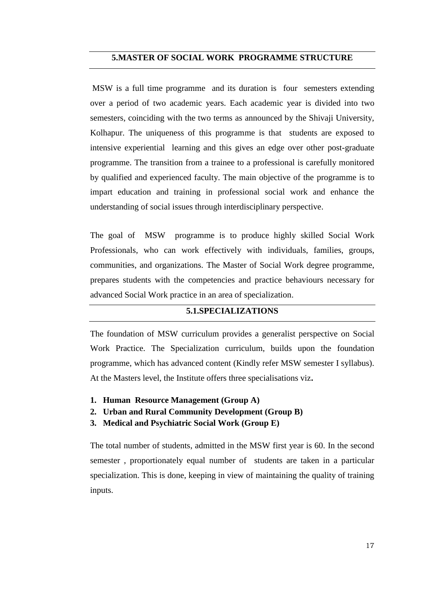## **5.MASTER OF SOCIAL WORK PROGRAMME STRUCTURE**

MSW is a full time programme and its duration is four semesters extending over a period of two academic years. Each academic year is divided into two semesters, coinciding with the two terms as announced by the Shivaji University, Kolhapur. The uniqueness of this programme is that students are exposed to intensive experiential learning and this gives an edge over other post-graduate programme. The transition from a trainee to a professional is carefully monitored by qualified and experienced faculty. The main objective of the programme is to impart education and training in professional social work and enhance the understanding of social issues through interdisciplinary perspective.

The goal of MSW programme is to produce highly skilled Social Work Professionals, who can work effectively with individuals, families, groups, communities, and organizations. The Master of Social Work degree programme, prepares students with the competencies and practice behaviours necessary for advanced Social Work practice in an area of specialization.

## **5.1.SPECIALIZATIONS**

The foundation of MSW curriculum provides a generalist perspective on Social Work Practice. The Specialization curriculum, builds upon the foundation programme, which has advanced content (Kindly refer MSW semester I syllabus). At the Masters level, the Institute offers three specialisations viz**.**

- **1. Human Resource Management (Group A)**
- **2. Urban and Rural Community Development (Group B)**
- **3. Medical and Psychiatric Social Work (Group E)**

The total number of students, admitted in the MSW first year is 60. In the second semester , proportionately equal number of students are taken in a particular specialization. This is done, keeping in view of maintaining the quality of training inputs.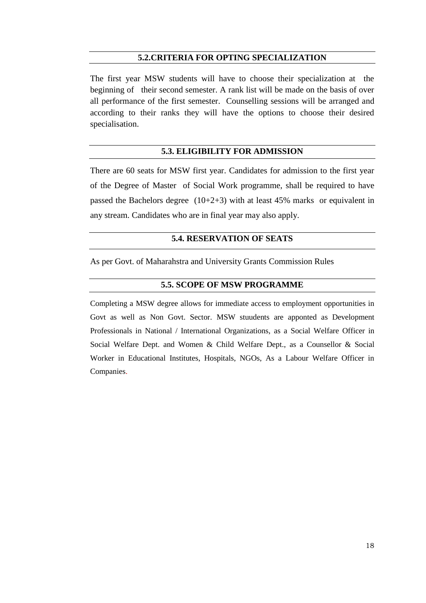## **5.2.CRITERIA FOR OPTING SPECIALIZATION**

The first year MSW students will have to choose their specialization at the beginning of their second semester. A rank list will be made on the basis of over all performance of the first semester. Counselling sessions will be arranged and according to their ranks they will have the options to choose their desired specialisation.

## **5.3. ELIGIBILITY FOR ADMISSION**

There are 60 seats for MSW first year. Candidates for admission to the first year of the Degree of Master of Social Work programme, shall be required to have passed the Bachelors degree  $(10+2+3)$  with at least 45% marks or equivalent in any stream. Candidates who are in final year may also apply.

# **5.4. RESERVATION OF SEATS**

As per Govt. of Maharahstra and University Grants Commission Rules

## **5.5. SCOPE OF MSW PROGRAMME**

Completing a MSW degree allows for immediate access to employment opportunities in Govt as well as Non Govt. Sector. MSW stuudents are apponted as Development Professionals in National / International Organizations, as a Social Welfare Officer in Social Welfare Dept. and Women & Child Welfare Dept., as a Counsellor & Social Worker in Educational Institutes, Hospitals, NGOs, As a Labour Welfare Officer in Companies.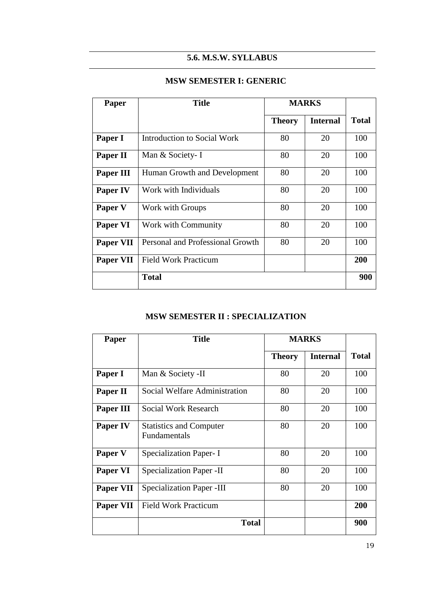# **5.6. M.S.W. SYLLABUS**

# **MSW SEMESTER I: GENERIC**

| Paper            | <b>Title</b>                     | <b>MARKS</b>  |                 |              |
|------------------|----------------------------------|---------------|-----------------|--------------|
|                  |                                  | <b>Theory</b> | <b>Internal</b> | <b>Total</b> |
| Paper I          | Introduction to Social Work      | 80            | 20              | 100          |
| Paper II         | Man & Society- I                 | 80            | 20              | 100          |
| Paper III        | Human Growth and Development     | 80            | 20              | 100          |
| <b>Paper IV</b>  | Work with Individuals            | 80            | 20              | 100          |
| Paper V          | Work with Groups                 | 80            | 20              | 100          |
| Paper VI         | Work with Community              | 80            | 20              | 100          |
| <b>Paper VII</b> | Personal and Professional Growth | 80            | 20              | 100          |
| <b>Paper VII</b> | <b>Field Work Practicum</b>      |               |                 | 200          |
|                  | <b>Total</b>                     |               |                 | 900          |

# **MSW SEMESTER II : SPECIALIZATION**

| Paper     | <b>Title</b>                                   | <b>MARKS</b>  |                 |              |
|-----------|------------------------------------------------|---------------|-----------------|--------------|
|           |                                                | <b>Theory</b> | <b>Internal</b> | <b>Total</b> |
| Paper I   | Man & Society -II                              | 80            | 20              | 100          |
| Paper II  | Social Welfare Administration                  | 80            | 20              | 100          |
| Paper III | Social Work Research                           | 80            | 20              | 100          |
| Paper IV  | <b>Statistics and Computer</b><br>Fundamentals | 80            | 20              | 100          |
| Paper V   | Specialization Paper-I                         | 80            | 20              | 100          |
| Paper VI  | <b>Specialization Paper - II</b>               | 80            | 20              | 100          |
| Paper VII | <b>Specialization Paper -III</b>               | 80            | 20              | 100          |
| Paper VII | <b>Field Work Practicum</b>                    |               |                 | 200          |
|           | <b>Total</b>                                   |               |                 | 900          |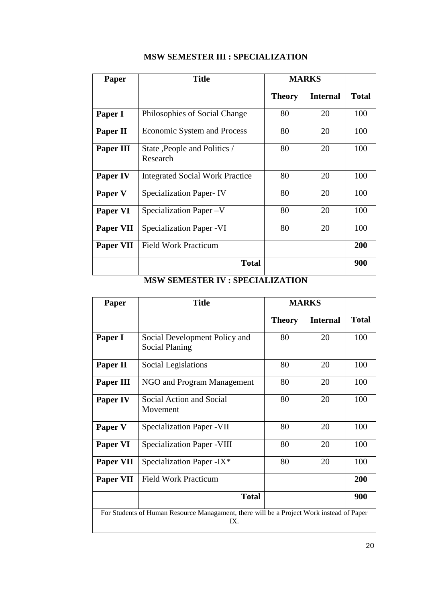| Paper           | <b>Title</b>                             | <b>MARKS</b>  |                 |              |
|-----------------|------------------------------------------|---------------|-----------------|--------------|
|                 |                                          | <b>Theory</b> | <b>Internal</b> | <b>Total</b> |
| Paper I         | Philosophies of Social Change            | 80            | 20              | 100          |
| Paper II        | <b>Economic System and Process</b>       | 80            | 20              | 100          |
| Paper III       | State, People and Politics /<br>Research |               | 20              | 100          |
| <b>Paper IV</b> | <b>Integrated Social Work Practice</b>   | 80            | 20              | 100          |
| Paper V         | <b>Specialization Paper-IV</b>           | 80            | 20              | 100          |
| Paper VI        | Specialization Paper - V                 | 80            | 20              | 100          |
| Paper VII       | <b>Specialization Paper - VI</b>         | 80            | 20              | 100          |
| Paper VII       | <b>Field Work Practicum</b>              |               |                 | 200          |
|                 | <b>Total</b>                             |               |                 | 900          |

# **MSW SEMESTER III : SPECIALIZATION**

# **MSW SEMESTER IV : SPECIALIZATION**

| Paper                                                                                           | <b>Title</b>                                    | <b>MARKS</b>  |                 |              |  |
|-------------------------------------------------------------------------------------------------|-------------------------------------------------|---------------|-----------------|--------------|--|
|                                                                                                 |                                                 | <b>Theory</b> | <b>Internal</b> | <b>Total</b> |  |
| Paper I                                                                                         | Social Development Policy and<br>Social Planing | 80            | 20              | 100          |  |
| Paper II                                                                                        | Social Legislations                             | 80            | 20              | 100          |  |
| Paper III                                                                                       | NGO and Program Management                      | 80            | 20              | 100          |  |
| Paper IV                                                                                        | Social Action and Social<br>Movement            | 80            | 20              | 100          |  |
| Paper V                                                                                         | <b>Specialization Paper - VII</b>               | 80            | 20              | 100          |  |
| Paper VI                                                                                        | <b>Specialization Paper - VIII</b>              | 80            | 20              | 100          |  |
| <b>Paper VII</b>                                                                                | Specialization Paper - IX*                      | 80            | 20              | 100          |  |
| <b>Paper VII</b>                                                                                | <b>Field Work Practicum</b>                     |               |                 | 200          |  |
|                                                                                                 | <b>Total</b>                                    |               |                 | 900          |  |
| For Students of Human Resource Managament, there will be a Project Work instead of Paper<br>IX. |                                                 |               |                 |              |  |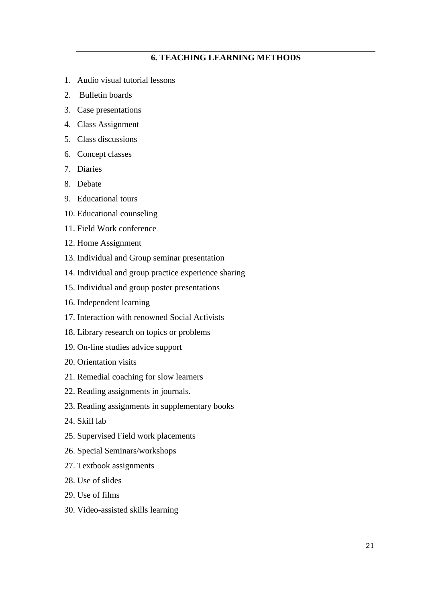# **6. TEACHING LEARNING METHODS**

- 1. Audio visual tutorial lessons
- 2. Bulletin boards
- 3. Case presentations
- 4. Class Assignment
- 5. Class discussions
- 6. Concept classes
- 7. Diaries
- 8. Debate
- 9. Educational tours
- 10. Educational counseling
- 11. Field Work conference
- 12. Home Assignment
- 13. Individual and Group seminar presentation
- 14. Individual and group practice experience sharing
- 15. Individual and group poster presentations
- 16. Independent learning
- 17. Interaction with renowned Social Activists
- 18. Library research on topics or problems
- 19. On-line studies advice support
- 20. Orientation visits
- 21. Remedial coaching for slow learners
- 22. Reading assignments in journals.
- 23. Reading assignments in supplementary books
- 24. Skill lab
- 25. Supervised Field work placements
- 26. Special Seminars/workshops
- 27. Textbook assignments
- 28. Use of slides
- 29. Use of films
- 30. Video-assisted skills learning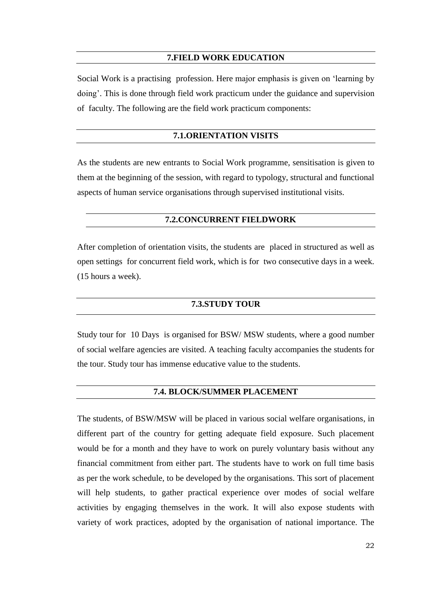#### **7.FIELD WORK EDUCATION**

Social Work is a practising profession. Here major emphasis is given on 'learning by doing'. This is done through field work practicum under the guidance and supervision of faculty. The following are the field work practicum components:

### **7.1.ORIENTATION VISITS**

As the students are new entrants to Social Work programme, sensitisation is given to them at the beginning of the session, with regard to typology, structural and functional aspects of human service organisations through supervised institutional visits.

## **7.2.CONCURRENT FIELDWORK**

After completion of orientation visits, the students are placed in structured as well as open settings for concurrent field work, which is for two consecutive days in a week. (15 hours a week).

## **7.3.STUDY TOUR**

Study tour for 10 Days is organised for BSW/ MSW students, where a good number of social welfare agencies are visited. A teaching faculty accompanies the students for the tour. Study tour has immense educative value to the students.

## **7.4. BLOCK/SUMMER PLACEMENT**

The students, of BSW/MSW will be placed in various social welfare organisations, in different part of the country for getting adequate field exposure. Such placement would be for a month and they have to work on purely voluntary basis without any financial commitment from either part. The students have to work on full time basis as per the work schedule, to be developed by the organisations. This sort of placement will help students, to gather practical experience over modes of social welfare activities by engaging themselves in the work. It will also expose students with variety of work practices, adopted by the organisation of national importance. The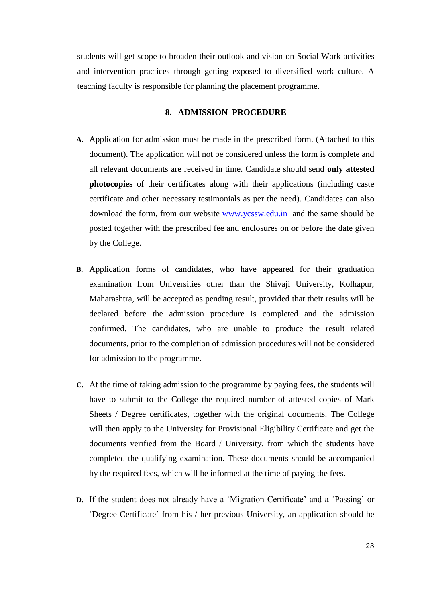students will get scope to broaden their outlook and vision on Social Work activities and intervention practices through getting exposed to diversified work culture. A teaching faculty is responsible for planning the placement programme.

## **8. ADMISSION PROCEDURE**

- **A.** Application for admission must be made in the prescribed form. (Attached to this document). The application will not be considered unless the form is complete and all relevant documents are received in time. Candidate should send **only attested photocopies** of their certificates along with their applications (including caste certificate and other necessary testimonials as per the need). Candidates can also download the form, from our website [www.ycssw.edu.in](http://www.ycssw.edu.in/) and the same should be posted together with the prescribed fee and enclosures on or before the date given by the College.
- **B.** Application forms of candidates, who have appeared for their graduation examination from Universities other than the Shivaji University, Kolhapur, Maharashtra, will be accepted as pending result, provided that their results will be declared before the admission procedure is completed and the admission confirmed. The candidates, who are unable to produce the result related documents, prior to the completion of admission procedures will not be considered for admission to the programme.
- **C.** At the time of taking admission to the programme by paying fees, the students will have to submit to the College the required number of attested copies of Mark Sheets / Degree certificates, together with the original documents. The College will then apply to the University for Provisional Eligibility Certificate and get the documents verified from the Board / University, from which the students have completed the qualifying examination. These documents should be accompanied by the required fees, which will be informed at the time of paying the fees.
- **D.** If the student does not already have a 'Migration Certificate' and a 'Passing' or 'Degree Certificate' from his / her previous University, an application should be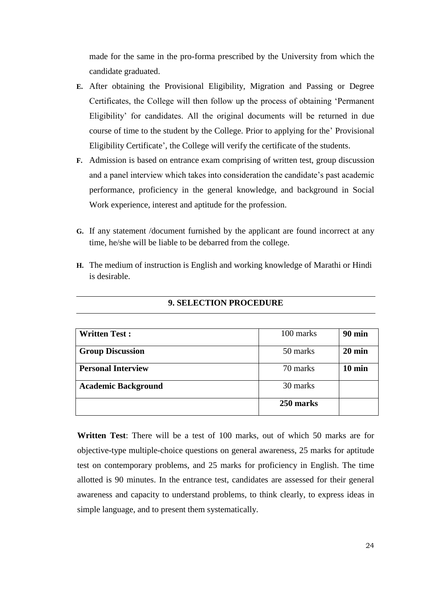made for the same in the pro-forma prescribed by the University from which the candidate graduated.

- **E.** After obtaining the Provisional Eligibility, Migration and Passing or Degree Certificates, the College will then follow up the process of obtaining 'Permanent Eligibility' for candidates. All the original documents will be returned in due course of time to the student by the College. Prior to applying for the' Provisional Eligibility Certificate', the College will verify the certificate of the students.
- **F.** Admission is based on entrance exam comprising of written test, group discussion and a panel interview which takes into consideration the candidate's past academic performance, proficiency in the general knowledge, and background in Social Work experience, interest and aptitude for the profession.
- **G.** If any statement /document furnished by the applicant are found incorrect at any time, he/she will be liable to be debarred from the college.
- **H.** The medium of instruction is English and working knowledge of Marathi or Hindi is desirable.

| <b>Written Test:</b>       | 100 marks | <b>90 min</b>    |
|----------------------------|-----------|------------------|
| <b>Group Discussion</b>    | 50 marks  | $20 \text{ min}$ |
| <b>Personal Interview</b>  | 70 marks  | $10 \text{ min}$ |
| <b>Academic Background</b> | 30 marks  |                  |
|                            | 250 marks |                  |

## **9. SELECTION PROCEDURE**

**Written Test**: There will be a test of 100 marks, out of which 50 marks are for objective-type multiple-choice questions on general awareness, 25 marks for aptitude test on contemporary problems, and 25 marks for proficiency in English. The time allotted is 90 minutes. In the entrance test, candidates are assessed for their general awareness and capacity to understand problems, to think clearly, to express ideas in simple language, and to present them systematically.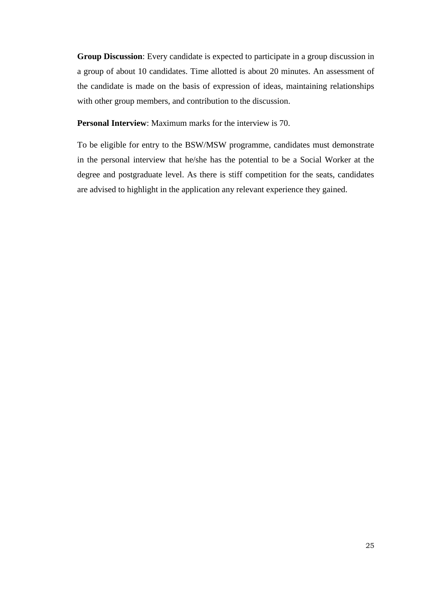**Group Discussion**: Every candidate is expected to participate in a group discussion in a group of about 10 candidates. Time allotted is about 20 minutes. An assessment of the candidate is made on the basis of expression of ideas, maintaining relationships with other group members, and contribution to the discussion.

**Personal Interview**: Maximum marks for the interview is 70.

To be eligible for entry to the BSW/MSW programme, candidates must demonstrate in the personal interview that he/she has the potential to be a Social Worker at the degree and postgraduate level. As there is stiff competition for the seats, candidates are advised to highlight in the application any relevant experience they gained.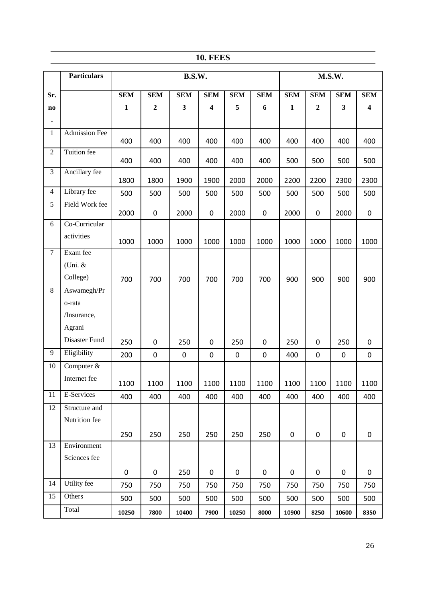|  | 10. FEES |
|--|----------|
|--|----------|

|                | <b>Particulars</b>   | <b>B.S.W.</b> |                  |                         | M.S.W.                  |             |                  |              |                |             |                  |
|----------------|----------------------|---------------|------------------|-------------------------|-------------------------|-------------|------------------|--------------|----------------|-------------|------------------|
| Sr.            |                      | <b>SEM</b>    | <b>SEM</b>       | <b>SEM</b>              | <b>SEM</b>              | <b>SEM</b>  | <b>SEM</b>       | <b>SEM</b>   | <b>SEM</b>     | <b>SEM</b>  | <b>SEM</b>       |
| $\bf{no}$      |                      | 1             | $\mathbf{2}$     | $\overline{\mathbf{3}}$ | $\overline{\mathbf{4}}$ | 5           | 6                | $\mathbf{1}$ | $\overline{2}$ | 3           | 4                |
| $\bullet$      |                      |               |                  |                         |                         |             |                  |              |                |             |                  |
| $\mathbf{1}$   | <b>Admission Fee</b> | 400           | 400              | 400                     | 400                     | 400         | 400              | 400          | 400            | 400         | 400              |
| $\overline{2}$ | Tuition fee          | 400           | 400              | 400                     | 400                     | 400         | 400              | 500          | 500            | 500         | 500              |
| 3              | Ancillary fee        | 1800          | 1800             | 1900                    | 1900                    | 2000        | 2000             | 2200         | 2200           | 2300        | 2300             |
| $\overline{4}$ | Library fee          | 500           | 500              | 500                     | 500                     | 500         | 500              | 500          | 500            | 500         | 500              |
| 5              | Field Work fee       | 2000          | $\boldsymbol{0}$ | 2000                    | $\pmb{0}$               | 2000        | $\mathbf 0$      | 2000         | $\mathbf 0$    | 2000        | $\pmb{0}$        |
| 6              | Co-Curricular        |               |                  |                         |                         |             |                  |              |                |             |                  |
|                | activities           | 1000          | 1000             | 1000                    | 1000                    | 1000        | 1000             | 1000         | 1000           | 1000        | 1000             |
| $\tau$         | Exam fee             |               |                  |                         |                         |             |                  |              |                |             |                  |
|                | (Uni. $&$            |               |                  |                         |                         |             |                  |              |                |             |                  |
|                | College)             | 700           | 700              | 700                     | 700                     | 700         | 700              | 900          | 900            | 900         | 900              |
| $\,8\,$        | Aswamegh/Pr          |               |                  |                         |                         |             |                  |              |                |             |                  |
|                | o-rata               |               |                  |                         |                         |             |                  |              |                |             |                  |
|                | /Insurance,          |               |                  |                         |                         |             |                  |              |                |             |                  |
|                | Agrani               |               |                  |                         |                         |             |                  |              |                |             |                  |
|                | Disaster Fund        | 250           | $\mathbf 0$      | 250                     | $\pmb{0}$               | 250         | 0                | 250          | $\mathbf 0$    | 250         | $\boldsymbol{0}$ |
| 9              | Eligibility          | 200           | $\mathbf 0$      | $\pmb{0}$               | $\pmb{0}$               | $\mathbf 0$ | $\pmb{0}$        | 400          | $\mathbf 0$    | 0           | $\boldsymbol{0}$ |
| 10             | Computer &           |               |                  |                         |                         |             |                  |              |                |             |                  |
|                | Internet fee         | 1100          | 1100             | 1100                    | 1100                    | 1100        | 1100             | 1100         | 1100           | 1100        | 1100             |
| 11             | E-Services           | 400           | 400              | 400                     | 400                     | 400         | 400              | 400          | 400            | 400         | 400              |
| 12             | Structure and        |               |                  |                         |                         |             |                  |              |                |             |                  |
|                | Nutrition fee        |               |                  |                         |                         |             |                  |              |                |             |                  |
|                |                      | 250           | 250              | 250                     | 250                     | 250         | 250              | $\pmb{0}$    | $\pmb{0}$      | $\pmb{0}$   | $\pmb{0}$        |
| 13             | Environment          |               |                  |                         |                         |             |                  |              |                |             |                  |
|                | Sciences fee         |               |                  |                         |                         |             |                  |              |                |             |                  |
|                |                      | $\pmb{0}$     | $\pmb{0}$        | 250                     | $\mathbf 0$             | $\pmb{0}$   | $\boldsymbol{0}$ | 0            | $\mathbf 0$    | $\mathbf 0$ | $\pmb{0}$        |
| 14             | Utility fee          | 750           | 750              | 750                     | 750                     | 750         | 750              | 750          | 750            | 750         | 750              |
| 15             | Others               | 500           | 500              | 500                     | 500                     | 500         | 500              | 500          | 500            | 500         | 500              |
|                | Total                | 10250         | 7800             | 10400                   | 7900                    | 10250       | 8000             | 10900        | 8250           | 10600       | 8350             |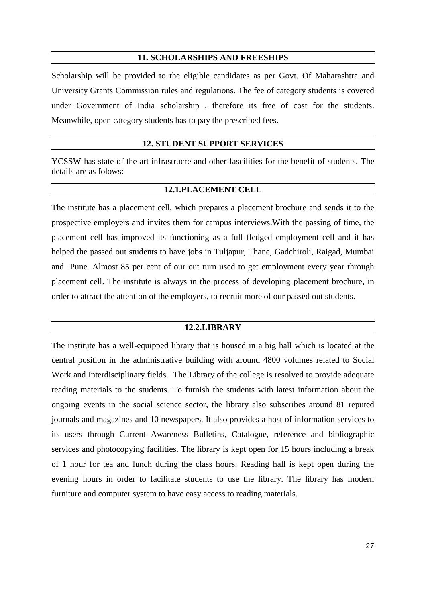### **11. SCHOLARSHIPS AND FREESHIPS**

Scholarship will be provided to the eligible candidates as per Govt. Of Maharashtra and University Grants Commission rules and regulations. The fee of category students is covered under Government of India scholarship , therefore its free of cost for the students. Meanwhile, open category students has to pay the prescribed fees.

## **12. STUDENT SUPPORT SERVICES**

YCSSW has state of the art infrastrucre and other fascilities for the benefit of students. The details are as folows:

## **12.1.PLACEMENT CELL**

The institute has a placement cell, which prepares a placement brochure and sends it to the prospective employers and invites them for campus interviews.With the passing of time, the placement cell has improved its functioning as a full fledged employment cell and it has helped the passed out students to have jobs in Tuljapur, Thane, Gadchiroli, Raigad, Mumbai and Pune. Almost 85 per cent of our out turn used to get employment every year through placement cell. The institute is always in the process of developing placement brochure, in order to attract the attention of the employers, to recruit more of our passed out students.

## **12.2.LIBRARY**

The institute has a well-equipped library that is housed in a big hall which is located at the central position in the administrative building with around 4800 volumes related to Social Work and Interdisciplinary fields. The Library of the college is resolved to provide adequate reading materials to the students. To furnish the students with latest information about the ongoing events in the social science sector, the library also subscribes around 81 reputed journals and magazines and 10 newspapers. It also provides a host of information services to its users through Current Awareness Bulletins, Catalogue, reference and bibliographic services and photocopying facilities. The library is kept open for 15 hours including a break of 1 hour for tea and lunch during the class hours. Reading hall is kept open during the evening hours in order to facilitate students to use the library. The library has modern furniture and computer system to have easy access to reading materials.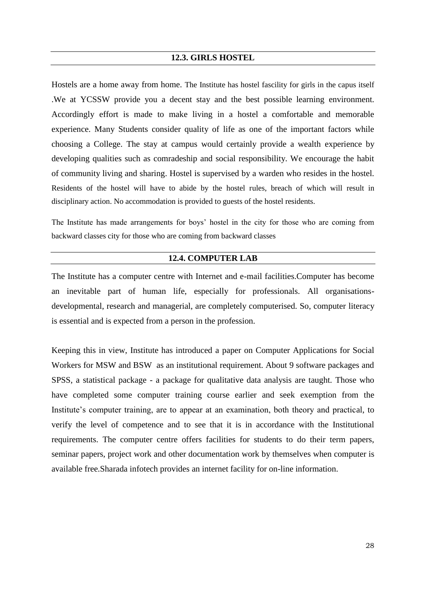#### **12.3. GIRLS HOSTEL**

Hostels are a home away from home. The Institute has hostel fascility for girls in the capus itself .We at YCSSW provide you a decent stay and the best possible learning environment. Accordingly effort is made to make living in a hostel a comfortable and memorable experience. Many Students consider quality of life as one of the important factors while choosing a College. The stay at campus would certainly provide a wealth experience by developing qualities such as comradeship and social responsibility. We encourage the habit of community living and sharing. Hostel is supervised by a warden who resides in the hostel. Residents of the hostel will have to abide by the hostel rules, breach of which will result in disciplinary action. No accommodation is provided to guests of the hostel residents.

The Institute has made arrangements for boys' hostel in the city for those who are coming from backward classes city for those who are coming from backward classes

## **12.4. COMPUTER LAB**

The Institute has a computer centre with Internet and e-mail facilities.Computer has become an inevitable part of human life, especially for professionals. All organisationsdevelopmental, research and managerial, are completely computerised. So, computer literacy is essential and is expected from a person in the profession.

Keeping this in view, Institute has introduced a paper on Computer Applications for Social Workers for MSW and BSW as an institutional requirement. About 9 software packages and SPSS, a statistical package - a package for qualitative data analysis are taught. Those who have completed some computer training course earlier and seek exemption from the Institute's computer training, are to appear at an examination, both theory and practical, to verify the level of competence and to see that it is in accordance with the Institutional requirements. The computer centre offers facilities for students to do their term papers, seminar papers, project work and other documentation work by themselves when computer is available free.Sharada infotech provides an internet facility for on-line information.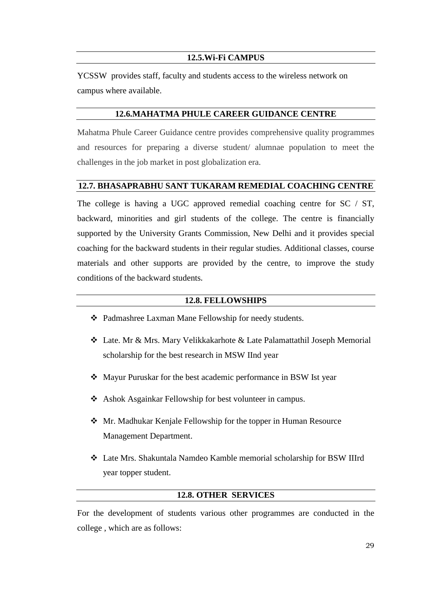## **12.5.Wi-Fi CAMPUS**

YCSSW provides staff, faculty and students access to the wireless network on campus where available.

# **12.6.MAHATMA PHULE CAREER GUIDANCE CENTRE**

Mahatma Phule Career Guidance centre provides comprehensive quality programmes and resources for preparing a diverse student/ alumnae population to meet the challenges in the job market in post globalization era.

# **12.7. BHASAPRABHU SANT TUKARAM REMEDIAL COACHING CENTRE**

The college is having a UGC approved remedial coaching centre for SC / ST, backward, minorities and girl students of the college. The centre is financially supported by the University Grants Commission, New Delhi and it provides special coaching for the backward students in their regular studies. Additional classes, course materials and other supports are provided by the centre, to improve the study conditions of the backward students**.**

## **12.8. FELLOWSHIPS**

- Padmashree Laxman Mane Fellowship for needy students.
- Late. Mr & Mrs. Mary Velikkakarhote & Late Palamattathil Joseph Memorial scholarship for the best research in MSW IInd year
- Mayur Puruskar for the best academic performance in BSW Ist year
- Ashok Asgainkar Fellowship for best volunteer in campus.
- Mr. Madhukar Kenjale Fellowship for the topper in Human Resource Management Department.
- Late Mrs. Shakuntala Namdeo Kamble memorial scholarship for BSW IIIrd year topper student.

## **12.8. OTHER SERVICES**

For the development of students various other programmes are conducted in the college , which are as follows: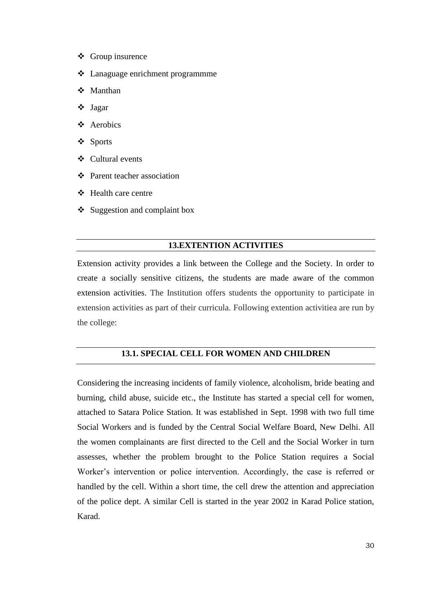- ❖ Group insurence
- Lanaguage enrichment programmme
- Manthan
- Jagar
- Aerobics
- Sports
- Cultural events
- Parent teacher association
- $\div$  Health care centre
- $\triangleleft$  Suggestion and complaint box

#### **13.EXTENTION ACTIVITIES**

Extension activity provides a link between the College and the Society. In order to create a socially sensitive citizens, the students are made aware of the common extension activities. The Institution offers students the opportunity to participate in extension activities as part of their curricula. Following extention activitiea are run by the college:

## **13.1. SPECIAL CELL FOR WOMEN AND CHILDREN**

Considering the increasing incidents of family violence, alcoholism, bride beating and burning, child abuse, suicide etc., the Institute has started a special cell for women, attached to Satara Police Station. It was established in Sept. 1998 with two full time Social Workers and is funded by the Central Social Welfare Board, New Delhi. All the women complainants are first directed to the Cell and the Social Worker in turn assesses, whether the problem brought to the Police Station requires a Social Worker's intervention or police intervention. Accordingly, the case is referred or handled by the cell. Within a short time, the cell drew the attention and appreciation of the police dept. A similar Cell is started in the year 2002 in Karad Police station, Karad.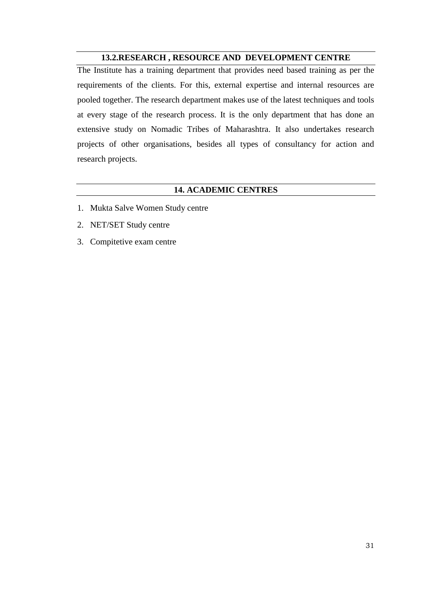# **13.2.RESEARCH , RESOURCE AND DEVELOPMENT CENTRE**

The Institute has a training department that provides need based training as per the requirements of the clients. For this, external expertise and internal resources are pooled together. The research department makes use of the latest techniques and tools at every stage of the research process. It is the only department that has done an extensive study on Nomadic Tribes of Maharashtra. It also undertakes research projects of other organisations, besides all types of consultancy for action and research projects.

# **14. ACADEMIC CENTRES**

- 1. Mukta Salve Women Study centre
- 2. NET/SET Study centre
- 3. Compitetive exam centre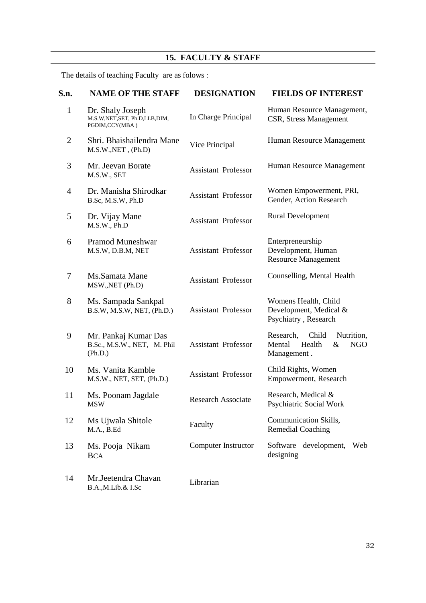# **15. FACULTY & STAFF**

The details of teaching Faculty are as folows :

| S.n.           | <b>NAME OF THE STAFF</b>                                                | <b>DESIGNATION</b>         | <b>FIELDS OF INTEREST</b>                                                              |
|----------------|-------------------------------------------------------------------------|----------------------------|----------------------------------------------------------------------------------------|
| $\mathbf{1}$   | Dr. Shaly Joseph<br>M.S.W, NET, SET, Ph.D, LLB, DIM,<br>PGDIM, CCY(MBA) | In Charge Principal        | Human Resource Management,<br>CSR, Stress Management                                   |
| $\overline{2}$ | Shri. Bhaishailendra Mane<br>M.S.W., NET, (Ph.D)                        | Vice Principal             | Human Resource Management                                                              |
| 3              | Mr. Jeevan Borate<br>M.S.W., SET                                        | <b>Assistant Professor</b> | Human Resource Management                                                              |
| 4              | Dr. Manisha Shirodkar<br>B.Sc, M.S.W, Ph.D                              | <b>Assistant Professor</b> | Women Empowerment, PRI,<br>Gender, Action Research                                     |
| 5              | Dr. Vijay Mane<br>M.S.W., Ph.D                                          | <b>Assistant Professor</b> | <b>Rural Development</b>                                                               |
| 6              | <b>Pramod Muneshwar</b><br>M.S.W, D.B.M, NET                            | <b>Assistant Professor</b> | Enterpreneurship<br>Development, Human<br><b>Resource Management</b>                   |
| 7              | Ms.Samata Mane<br>MSW., NET (Ph.D)                                      | <b>Assistant Professor</b> | Counselling, Mental Health                                                             |
| 8              | Ms. Sampada Sankpal<br>B.S.W, M.S.W, NET, (Ph.D.)                       | <b>Assistant Professor</b> | Womens Health, Child<br>Development, Medical &<br>Psychiatry, Research                 |
| 9              | Mr. Pankaj Kumar Das<br>B.Sc., M.S.W., NET, M. Phil<br>(Ph.D.)          | <b>Assistant Professor</b> | Research,<br>Child<br>Nutrition,<br>Health<br><b>NGO</b><br>Mental<br>&<br>Management. |
| 10             | Ms. Vanita Kamble<br>M.S.W., NET, SET, (Ph.D.)                          | <b>Assistant Professor</b> | Child Rights, Women<br>Empowerment, Research                                           |
| 11             | Ms. Poonam Jagdale<br><b>MSW</b>                                        | <b>Research Associate</b>  | Research, Medical &<br>Psychiatric Social Work                                         |
| 12             | Ms Ujwala Shitole<br>M.A., B.Ed                                         | Faculty                    | Communication Skills,<br><b>Remedial Coaching</b>                                      |
| 13             | Ms. Pooja Nikam<br><b>BCA</b>                                           | Computer Instructor        | development,<br>Software<br>Web<br>designing                                           |
| 14             | Mr.Jeetendra Chavan<br>B.A.,M.Lib.& I.Sc                                | Librarian                  |                                                                                        |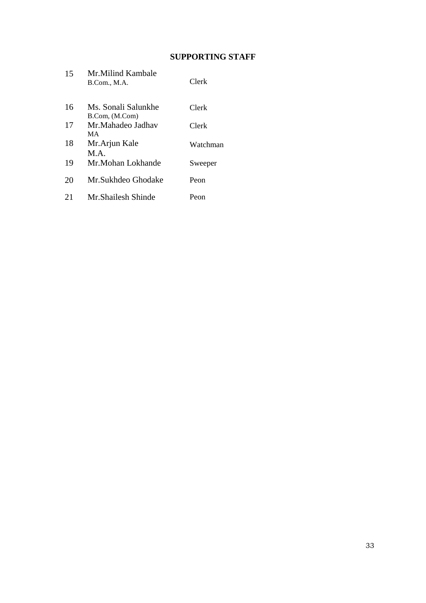# **SUPPORTING STAFF**

| 15 | Mr.Milind Kambale<br>B.Com., M.A.     | Clerk    |
|----|---------------------------------------|----------|
| 16 | Ms. Sonali Salunkhe<br>B.Com, (M.Com) | Clerk    |
| 17 | Mr.Mahadeo Jadhay<br>MА               | Clerk    |
| 18 | Mr.Arjun Kale<br>MA                   | Watchman |
| 19 | Mr.Mohan Lokhande                     | Sweeper  |
| 20 | Mr.Sukhdeo Ghodake                    | Peon     |
| 21 | Mr Shailesh Shinde                    | Peon     |